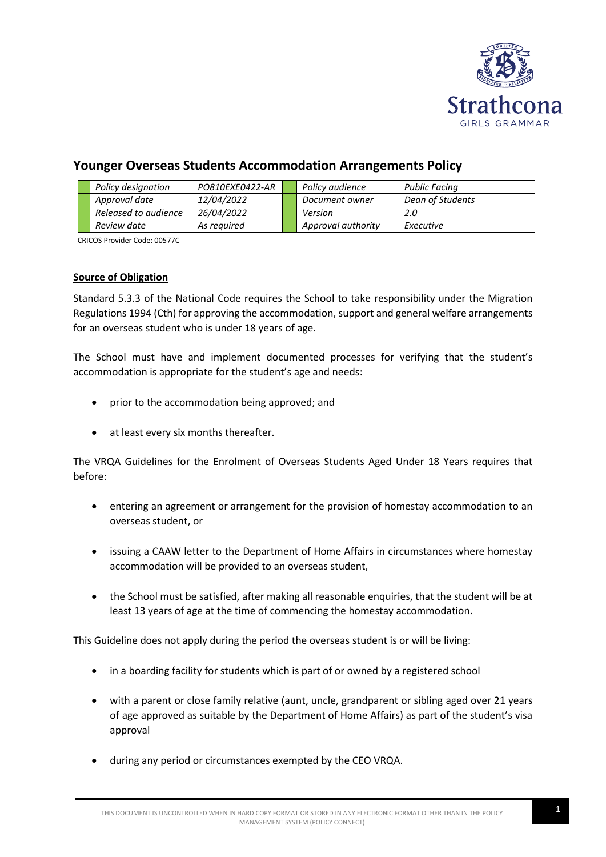

# **Younger Overseas Students Accommodation Arrangements Policy**

|  | Policy designation   | PO810EXE0422-AR | Policy audience    | Public Facing    |
|--|----------------------|-----------------|--------------------|------------------|
|  | Approval date        | 12/04/2022      | Document owner     | Dean of Students |
|  | Released to audience | 26/04/2022      | Version            | 2.O              |
|  | Review date          | As reauired     | Approval authority | Executive        |

CRICOS Provider Code: 00577C

# **Source of Obligation**

Standard 5.3.3 of the National Code requires the School to take responsibility under the Migration Regulations 1994 (Cth) for approving the accommodation, support and general welfare arrangements for an overseas student who is under 18 years of age.

The School must have and implement documented processes for verifying that the student's accommodation is appropriate for the student's age and needs:

- prior to the accommodation being approved; and
- at least every six months thereafter.

The VRQA Guidelines for the Enrolment of Overseas Students Aged Under 18 Years requires that before:

- entering an agreement or arrangement for the provision of homestay accommodation to an overseas student, or
- issuing a CAAW letter to the Department of Home Affairs in circumstances where homestay accommodation will be provided to an overseas student,
- the School must be satisfied, after making all reasonable enquiries, that the student will be at least 13 years of age at the time of commencing the homestay accommodation.

This Guideline does not apply during the period the overseas student is or will be living:

- in a boarding facility for students which is part of or owned by a registered school
- with a parent or close family relative (aunt, uncle, grandparent or sibling aged over 21 years of age approved as suitable by the Department of Home Affairs) as part of the student's visa approval
- during any period or circumstances exempted by the CEO VRQA.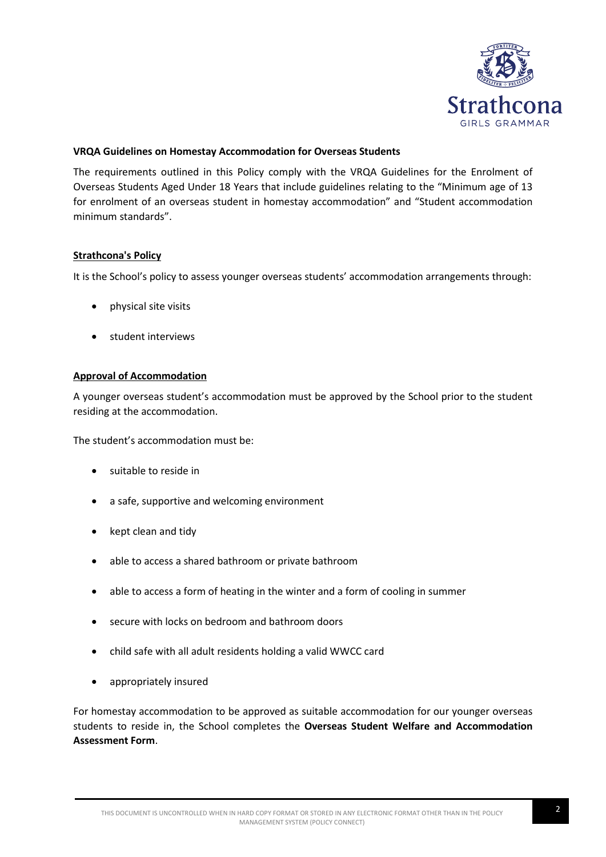

# **VRQA Guidelines on Homestay Accommodation for Overseas Students**

The requirements outlined in this Policy comply with the VRQA Guidelines for the Enrolment of Overseas Students Aged Under 18 Years that include guidelines relating to the "Minimum age of 13 for enrolment of an overseas student in homestay accommodation" and "Student accommodation minimum standards".

#### **Strathcona's Policy**

It is the School's policy to assess younger overseas students' accommodation arrangements through:

- physical site visits
- student interviews

# **Approval of Accommodation**

A younger overseas student's accommodation must be approved by the School prior to the student residing at the accommodation.

The student's accommodation must be:

- suitable to reside in
- a safe, supportive and welcoming environment
- kept clean and tidy
- able to access a shared bathroom or private bathroom
- able to access a form of heating in the winter and a form of cooling in summer
- secure with locks on bedroom and bathroom doors
- child safe with all adult residents holding a valid WWCC card
- appropriately insured

For homestay accommodation to be approved as suitable accommodation for our younger overseas students to reside in, the School completes the **Overseas Student Welfare and Accommodation Assessment Form**.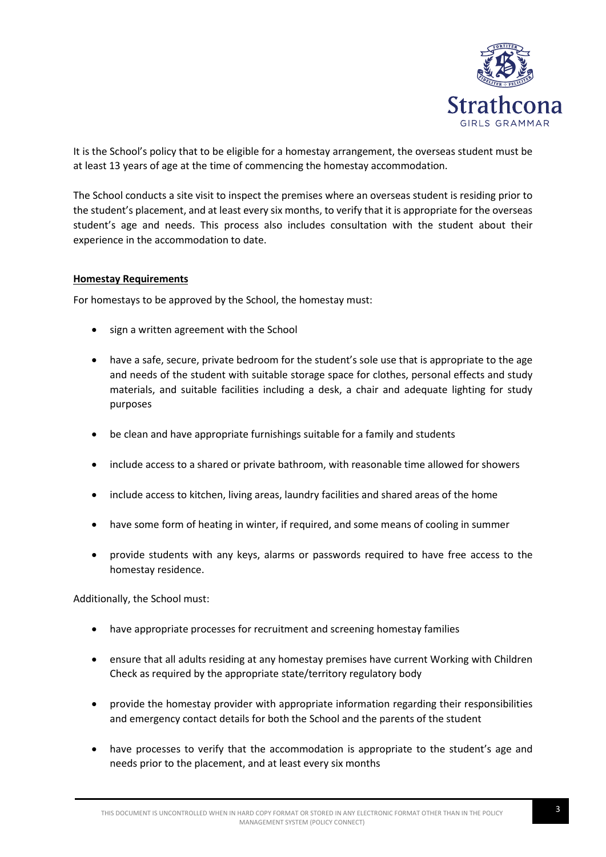

It is the School's policy that to be eligible for a homestay arrangement, the overseas student must be at least 13 years of age at the time of commencing the homestay accommodation.

The School conducts a site visit to inspect the premises where an overseas student is residing prior to the student's placement, and at least every six months, to verify that it is appropriate for the overseas student's age and needs. This process also includes consultation with the student about their experience in the accommodation to date.

#### **Homestay Requirements**

For homestays to be approved by the School, the homestay must:

- sign a written agreement with the School
- have a safe, secure, private bedroom for the student's sole use that is appropriate to the age and needs of the student with suitable storage space for clothes, personal effects and study materials, and suitable facilities including a desk, a chair and adequate lighting for study purposes
- be clean and have appropriate furnishings suitable for a family and students
- include access to a shared or private bathroom, with reasonable time allowed for showers
- include access to kitchen, living areas, laundry facilities and shared areas of the home
- have some form of heating in winter, if required, and some means of cooling in summer
- provide students with any keys, alarms or passwords required to have free access to the homestay residence.

Additionally, the School must:

- have appropriate processes for recruitment and screening homestay families
- ensure that all adults residing at any homestay premises have current Working with Children Check as required by the appropriate state/territory regulatory body
- provide the homestay provider with appropriate information regarding their responsibilities and emergency contact details for both the School and the parents of the student
- have processes to verify that the accommodation is appropriate to the student's age and needs prior to the placement, and at least every six months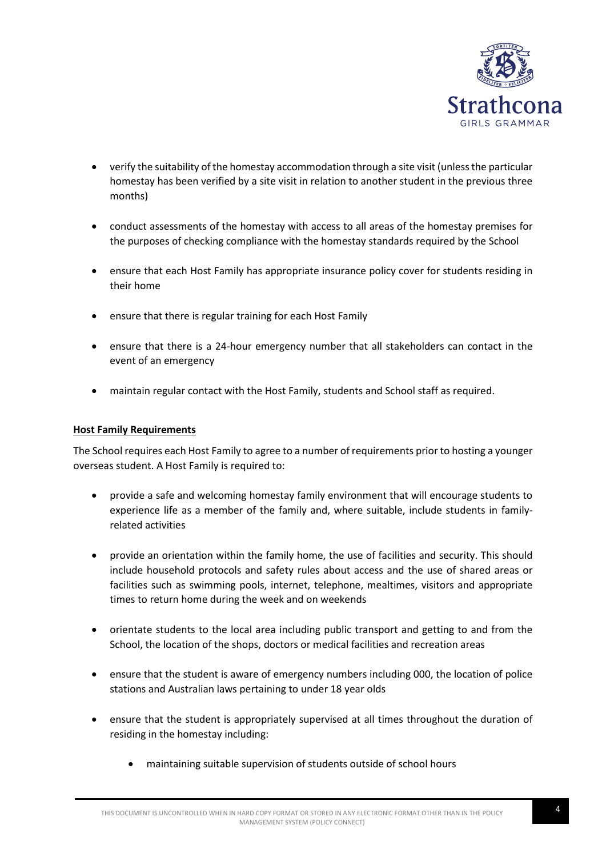

- verify the suitability of the homestay accommodation through a site visit (unless the particular homestay has been verified by a site visit in relation to another student in the previous three months)
- conduct assessments of the homestay with access to all areas of the homestay premises for the purposes of checking compliance with the homestay standards required by the School
- ensure that each Host Family has appropriate insurance policy cover for students residing in their home
- ensure that there is regular training for each Host Family
- ensure that there is a 24-hour emergency number that all stakeholders can contact in the event of an emergency
- maintain regular contact with the Host Family, students and School staff as required.

#### **Host Family Requirements**

The School requires each Host Family to agree to a number of requirements prior to hosting a younger overseas student. A Host Family is required to:

- provide a safe and welcoming homestay family environment that will encourage students to experience life as a member of the family and, where suitable, include students in familyrelated activities
- provide an orientation within the family home, the use of facilities and security. This should include household protocols and safety rules about access and the use of shared areas or facilities such as swimming pools, internet, telephone, mealtimes, visitors and appropriate times to return home during the week and on weekends
- orientate students to the local area including public transport and getting to and from the School, the location of the shops, doctors or medical facilities and recreation areas
- ensure that the student is aware of emergency numbers including 000, the location of police stations and Australian laws pertaining to under 18 year olds
- ensure that the student is appropriately supervised at all times throughout the duration of residing in the homestay including:
	- maintaining suitable supervision of students outside of school hours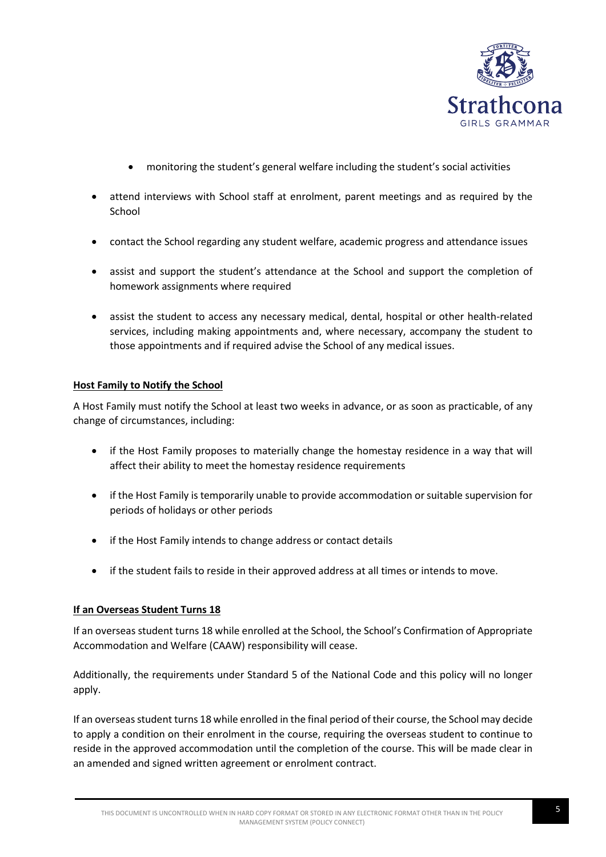

- monitoring the student's general welfare including the student's social activities
- attend interviews with School staff at enrolment, parent meetings and as required by the School
- contact the School regarding any student welfare, academic progress and attendance issues
- assist and support the student's attendance at the School and support the completion of homework assignments where required
- assist the student to access any necessary medical, dental, hospital or other health-related services, including making appointments and, where necessary, accompany the student to those appointments and if required advise the School of any medical issues.

#### **Host Family to Notify the School**

A Host Family must notify the School at least two weeks in advance, or as soon as practicable, of any change of circumstances, including:

- if the Host Family proposes to materially change the homestay residence in a way that will affect their ability to meet the homestay residence requirements
- if the Host Family is temporarily unable to provide accommodation or suitable supervision for periods of holidays or other periods
- if the Host Family intends to change address or contact details
- if the student fails to reside in their approved address at all times or intends to move.

# **If an Overseas Student Turns 18**

If an overseas student turns 18 while enrolled at the School, the School's Confirmation of Appropriate Accommodation and Welfare (CAAW) responsibility will cease.

Additionally, the requirements under Standard 5 of the National Code and this policy will no longer apply.

If an overseas student turns 18 while enrolled in the final period of their course, the School may decide to apply a condition on their enrolment in the course, requiring the overseas student to continue to reside in the approved accommodation until the completion of the course. This will be made clear in an amended and signed written agreement or enrolment contract.